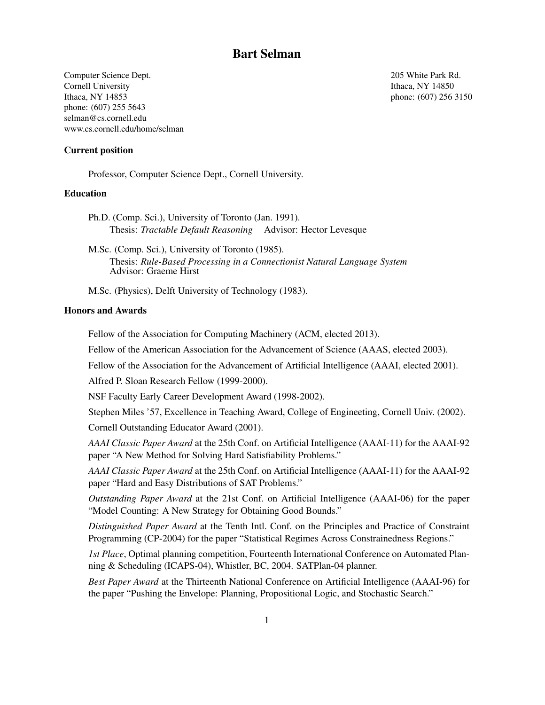# Bart Selman

Computer Science Dept. 205 White Park Rd. Cornell University **Ithaca**, NY 14850 Ithaca, NY 14853 phone: (607) 256 3150 phone: (607) 255 5643 selman@cs.cornell.edu www.cs.cornell.edu/home/selman

Current position

Professor, Computer Science Dept., Cornell University.

# **Education**

Ph.D. (Comp. Sci.), University of Toronto (Jan. 1991). Thesis: *Tractable Default Reasoning* Advisor: Hector Levesque

M.Sc. (Comp. Sci.), University of Toronto (1985). Thesis: *Rule-Based Processing in a Connectionist Natural Language System* Advisor: Graeme Hirst

M.Sc. (Physics), Delft University of Technology (1983).

### Honors and Awards

Fellow of the Association for Computing Machinery (ACM, elected 2013).

Fellow of the American Association for the Advancement of Science (AAAS, elected 2003).

Fellow of the Association for the Advancement of Artificial Intelligence (AAAI, elected 2001).

Alfred P. Sloan Research Fellow (1999-2000).

NSF Faculty Early Career Development Award (1998-2002).

Stephen Miles '57, Excellence in Teaching Award, College of Engineeting, Cornell Univ. (2002).

Cornell Outstanding Educator Award (2001).

*AAAI Classic Paper Award* at the 25th Conf. on Artificial Intelligence (AAAI-11) for the AAAI-92 paper "A New Method for Solving Hard Satisfiability Problems."

*AAAI Classic Paper Award* at the 25th Conf. on Artificial Intelligence (AAAI-11) for the AAAI-92 paper "Hard and Easy Distributions of SAT Problems."

*Outstanding Paper Award* at the 21st Conf. on Artificial Intelligence (AAAI-06) for the paper "Model Counting: A New Strategy for Obtaining Good Bounds."

*Distinguished Paper Award* at the Tenth Intl. Conf. on the Principles and Practice of Constraint Programming (CP-2004) for the paper "Statistical Regimes Across Constrainedness Regions."

*1st Place*, Optimal planning competition, Fourteenth International Conference on Automated Planning & Scheduling (ICAPS-04), Whistler, BC, 2004. SATPlan-04 planner.

*Best Paper Award* at the Thirteenth National Conference on Artificial Intelligence (AAAI-96) for the paper "Pushing the Envelope: Planning, Propositional Logic, and Stochastic Search."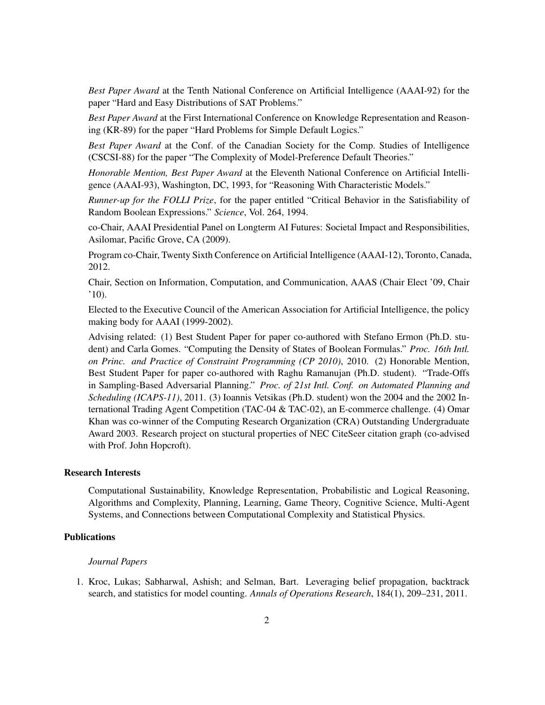*Best Paper Award* at the Tenth National Conference on Artificial Intelligence (AAAI-92) for the paper "Hard and Easy Distributions of SAT Problems."

*Best Paper Award* at the First International Conference on Knowledge Representation and Reasoning (KR-89) for the paper "Hard Problems for Simple Default Logics."

*Best Paper Award* at the Conf. of the Canadian Society for the Comp. Studies of Intelligence (CSCSI-88) for the paper "The Complexity of Model-Preference Default Theories."

*Honorable Mention, Best Paper Award* at the Eleventh National Conference on Artificial Intelligence (AAAI-93), Washington, DC, 1993, for "Reasoning With Characteristic Models."

*Runner-up for the FOLLI Prize*, for the paper entitled "Critical Behavior in the Satisfiability of Random Boolean Expressions." *Science*, Vol. 264, 1994.

co-Chair, AAAI Presidential Panel on Longterm AI Futures: Societal Impact and Responsibilities, Asilomar, Pacific Grove, CA (2009).

Program co-Chair, Twenty Sixth Conference on Artificial Intelligence (AAAI-12), Toronto, Canada, 2012.

Chair, Section on Information, Computation, and Communication, AAAS (Chair Elect '09, Chair  $'10$ ).

Elected to the Executive Council of the American Association for Artificial Intelligence, the policy making body for AAAI (1999-2002).

Advising related: (1) Best Student Paper for paper co-authored with Stefano Ermon (Ph.D. student) and Carla Gomes. "Computing the Density of States of Boolean Formulas." *Proc. 16th Intl. on Princ. and Practice of Constraint Programming (CP 2010)*, 2010. (2) Honorable Mention, Best Student Paper for paper co-authored with Raghu Ramanujan (Ph.D. student). "Trade-Offs in Sampling-Based Adversarial Planning." *Proc. of 21st Intl. Conf. on Automated Planning and Scheduling (ICAPS-11)*, 2011. (3) Ioannis Vetsikas (Ph.D. student) won the 2004 and the 2002 International Trading Agent Competition (TAC-04 & TAC-02), an E-commerce challenge. (4) Omar Khan was co-winner of the Computing Research Organization (CRA) Outstanding Undergraduate Award 2003. Research project on stuctural properties of NEC CiteSeer citation graph (co-advised with Prof. John Hopcroft).

# Research Interests

Computational Sustainability, Knowledge Representation, Probabilistic and Logical Reasoning, Algorithms and Complexity, Planning, Learning, Game Theory, Cognitive Science, Multi-Agent Systems, and Connections between Computational Complexity and Statistical Physics.

## **Publications**

#### *Journal Papers*

1. Kroc, Lukas; Sabharwal, Ashish; and Selman, Bart. Leveraging belief propagation, backtrack search, and statistics for model counting. *Annals of Operations Research*, 184(1), 209–231, 2011.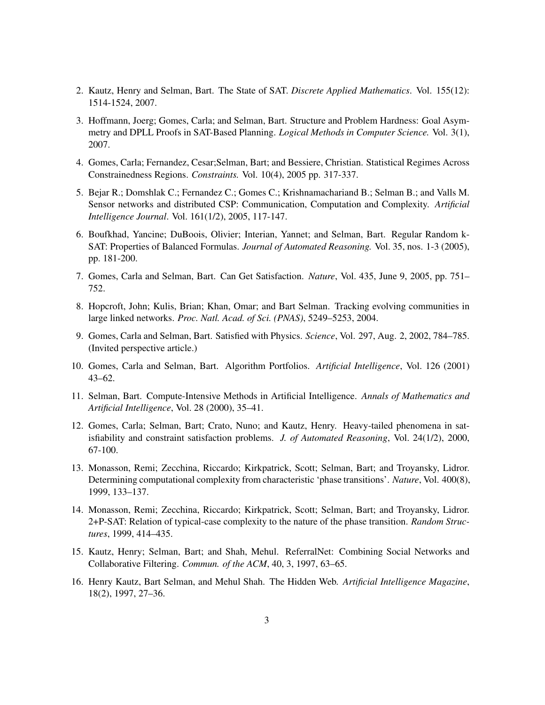- 2. Kautz, Henry and Selman, Bart. The State of SAT. *Discrete Applied Mathematics*. Vol. 155(12): 1514-1524, 2007.
- 3. Hoffmann, Joerg; Gomes, Carla; and Selman, Bart. Structure and Problem Hardness: Goal Asymmetry and DPLL Proofs in SAT-Based Planning. *Logical Methods in Computer Science.* Vol. 3(1), 2007.
- 4. Gomes, Carla; Fernandez, Cesar;Selman, Bart; and Bessiere, Christian. Statistical Regimes Across Constrainedness Regions. *Constraints.* Vol. 10(4), 2005 pp. 317-337.
- 5. Bejar R.; Domshlak C.; Fernandez C.; Gomes C.; Krishnamachariand B.; Selman B.; and Valls M. Sensor networks and distributed CSP: Communication, Computation and Complexity. *Artificial Intelligence Journal*. Vol. 161(1/2), 2005, 117-147.
- 6. Boufkhad, Yancine; DuBoois, Olivier; Interian, Yannet; and Selman, Bart. Regular Random k-SAT: Properties of Balanced Formulas. *Journal of Automated Reasoning.* Vol. 35, nos. 1-3 (2005), pp. 181-200.
- 7. Gomes, Carla and Selman, Bart. Can Get Satisfaction. *Nature*, Vol. 435, June 9, 2005, pp. 751– 752.
- 8. Hopcroft, John; Kulis, Brian; Khan, Omar; and Bart Selman. Tracking evolving communities in large linked networks. *Proc. Natl. Acad. of Sci. (PNAS)*, 5249–5253, 2004.
- 9. Gomes, Carla and Selman, Bart. Satisfied with Physics. *Science*, Vol. 297, Aug. 2, 2002, 784–785. (Invited perspective article.)
- 10. Gomes, Carla and Selman, Bart. Algorithm Portfolios. *Artificial Intelligence*, Vol. 126 (2001) 43–62.
- 11. Selman, Bart. Compute-Intensive Methods in Artificial Intelligence. *Annals of Mathematics and Artificial Intelligence*, Vol. 28 (2000), 35–41.
- 12. Gomes, Carla; Selman, Bart; Crato, Nuno; and Kautz, Henry. Heavy-tailed phenomena in satisfiability and constraint satisfaction problems. *J. of Automated Reasoning*, Vol. 24(1/2), 2000, 67-100.
- 13. Monasson, Remi; Zecchina, Riccardo; Kirkpatrick, Scott; Selman, Bart; and Troyansky, Lidror. Determining computational complexity from characteristic 'phase transitions'. *Nature*, Vol. 400(8), 1999, 133–137.
- 14. Monasson, Remi; Zecchina, Riccardo; Kirkpatrick, Scott; Selman, Bart; and Troyansky, Lidror. 2+P-SAT: Relation of typical-case complexity to the nature of the phase transition. *Random Structures*, 1999, 414–435.
- 15. Kautz, Henry; Selman, Bart; and Shah, Mehul. ReferralNet: Combining Social Networks and Collaborative Filtering. *Commun. of the ACM*, 40, 3, 1997, 63–65.
- 16. Henry Kautz, Bart Selman, and Mehul Shah. The Hidden Web. *Artificial Intelligence Magazine*, 18(2), 1997, 27–36.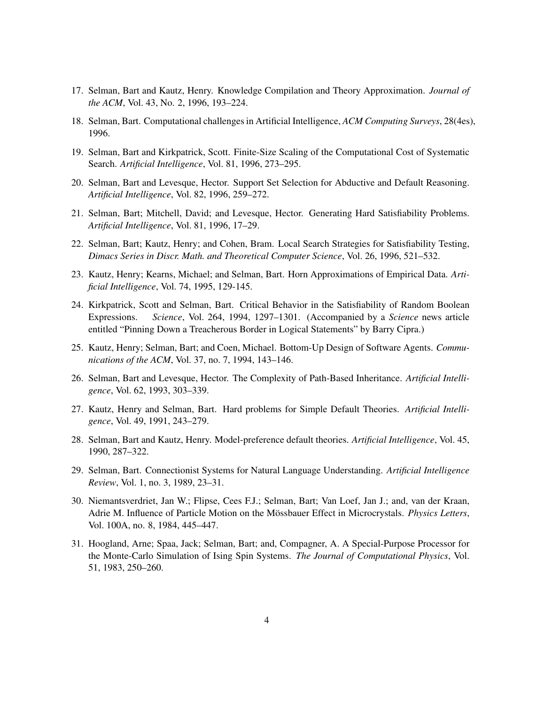- 17. Selman, Bart and Kautz, Henry. Knowledge Compilation and Theory Approximation. *Journal of the ACM*, Vol. 43, No. 2, 1996, 193–224.
- 18. Selman, Bart. Computational challenges in Artificial Intelligence, *ACM Computing Surveys*, 28(4es), 1996.
- 19. Selman, Bart and Kirkpatrick, Scott. Finite-Size Scaling of the Computational Cost of Systematic Search. *Artificial Intelligence*, Vol. 81, 1996, 273–295.
- 20. Selman, Bart and Levesque, Hector. Support Set Selection for Abductive and Default Reasoning. *Artificial Intelligence*, Vol. 82, 1996, 259–272.
- 21. Selman, Bart; Mitchell, David; and Levesque, Hector. Generating Hard Satisfiability Problems. *Artificial Intelligence*, Vol. 81, 1996, 17–29.
- 22. Selman, Bart; Kautz, Henry; and Cohen, Bram. Local Search Strategies for Satisfiability Testing, *Dimacs Series in Discr. Math. and Theoretical Computer Science*, Vol. 26, 1996, 521–532.
- 23. Kautz, Henry; Kearns, Michael; and Selman, Bart. Horn Approximations of Empirical Data. *Artificial Intelligence*, Vol. 74, 1995, 129-145.
- 24. Kirkpatrick, Scott and Selman, Bart. Critical Behavior in the Satisfiability of Random Boolean Expressions. *Science*, Vol. 264, 1994, 1297–1301. (Accompanied by a *Science* news article entitled "Pinning Down a Treacherous Border in Logical Statements" by Barry Cipra.)
- 25. Kautz, Henry; Selman, Bart; and Coen, Michael. Bottom-Up Design of Software Agents. *Communications of the ACM*, Vol. 37, no. 7, 1994, 143–146.
- 26. Selman, Bart and Levesque, Hector. The Complexity of Path-Based Inheritance. *Artificial Intelligence*, Vol. 62, 1993, 303–339.
- 27. Kautz, Henry and Selman, Bart. Hard problems for Simple Default Theories. *Artificial Intelligence*, Vol. 49, 1991, 243–279.
- 28. Selman, Bart and Kautz, Henry. Model-preference default theories. *Artificial Intelligence*, Vol. 45, 1990, 287–322.
- 29. Selman, Bart. Connectionist Systems for Natural Language Understanding. *Artificial Intelligence Review*, Vol. 1, no. 3, 1989, 23–31.
- 30. Niemantsverdriet, Jan W.; Flipse, Cees F.J.; Selman, Bart; Van Loef, Jan J.; and, van der Kraan, Adrie M. Influence of Particle Motion on the Mössbauer Effect in Microcrystals. Physics Letters, Vol. 100A, no. 8, 1984, 445–447.
- 31. Hoogland, Arne; Spaa, Jack; Selman, Bart; and, Compagner, A. A Special-Purpose Processor for the Monte-Carlo Simulation of Ising Spin Systems. *The Journal of Computational Physics*, Vol. 51, 1983, 250–260.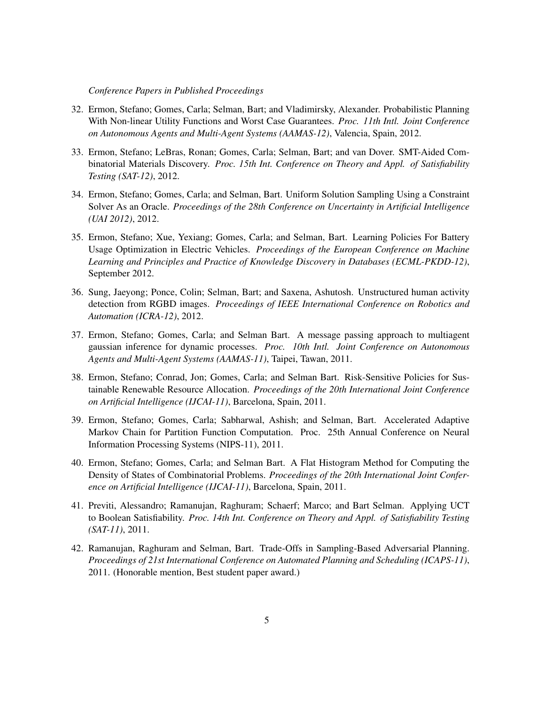*Conference Papers in Published Proceedings*

- 32. Ermon, Stefano; Gomes, Carla; Selman, Bart; and Vladimirsky, Alexander. Probabilistic Planning With Non-linear Utility Functions and Worst Case Guarantees. *Proc. 11th Intl. Joint Conference on Autonomous Agents and Multi-Agent Systems (AAMAS-12)*, Valencia, Spain, 2012.
- 33. Ermon, Stefano; LeBras, Ronan; Gomes, Carla; Selman, Bart; and van Dover. SMT-Aided Combinatorial Materials Discovery. *Proc. 15th Int. Conference on Theory and Appl. of Satisfiability Testing (SAT-12)*, 2012.
- 34. Ermon, Stefano; Gomes, Carla; and Selman, Bart. Uniform Solution Sampling Using a Constraint Solver As an Oracle. *Proceedings of the 28th Conference on Uncertainty in Artificial Intelligence (UAI 2012)*, 2012.
- 35. Ermon, Stefano; Xue, Yexiang; Gomes, Carla; and Selman, Bart. Learning Policies For Battery Usage Optimization in Electric Vehicles. *Proceedings of the European Conference on Machine Learning and Principles and Practice of Knowledge Discovery in Databases (ECML-PKDD-12)*, September 2012.
- 36. Sung, Jaeyong; Ponce, Colin; Selman, Bart; and Saxena, Ashutosh. Unstructured human activity detection from RGBD images. *Proceedings of IEEE International Conference on Robotics and Automation (ICRA-12)*, 2012.
- 37. Ermon, Stefano; Gomes, Carla; and Selman Bart. A message passing approach to multiagent gaussian inference for dynamic processes. *Proc. 10th Intl. Joint Conference on Autonomous Agents and Multi-Agent Systems (AAMAS-11)*, Taipei, Tawan, 2011.
- 38. Ermon, Stefano; Conrad, Jon; Gomes, Carla; and Selman Bart. Risk-Sensitive Policies for Sustainable Renewable Resource Allocation. *Proceedings of the 20th International Joint Conference on Artificial Intelligence (IJCAI-11)*, Barcelona, Spain, 2011.
- 39. Ermon, Stefano; Gomes, Carla; Sabharwal, Ashish; and Selman, Bart. Accelerated Adaptive Markov Chain for Partition Function Computation. Proc. 25th Annual Conference on Neural Information Processing Systems (NIPS-11), 2011.
- 40. Ermon, Stefano; Gomes, Carla; and Selman Bart. A Flat Histogram Method for Computing the Density of States of Combinatorial Problems. *Proceedings of the 20th International Joint Conference on Artificial Intelligence (IJCAI-11)*, Barcelona, Spain, 2011.
- 41. Previti, Alessandro; Ramanujan, Raghuram; Schaerf; Marco; and Bart Selman. Applying UCT to Boolean Satisfiability. *Proc. 14th Int. Conference on Theory and Appl. of Satisfiability Testing (SAT-11)*, 2011.
- 42. Ramanujan, Raghuram and Selman, Bart. Trade-Offs in Sampling-Based Adversarial Planning. *Proceedings of 21st International Conference on Automated Planning and Scheduling (ICAPS-11)*, 2011. (Honorable mention, Best student paper award.)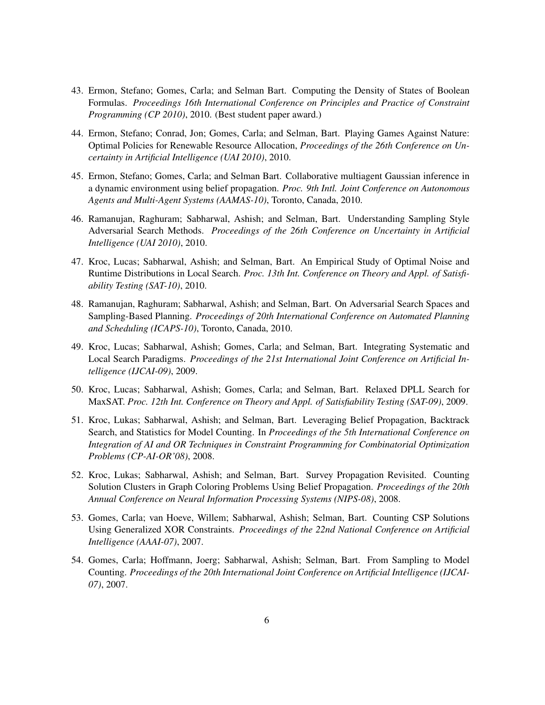- 43. Ermon, Stefano; Gomes, Carla; and Selman Bart. Computing the Density of States of Boolean Formulas. *Proceedings 16th International Conference on Principles and Practice of Constraint Programming (CP 2010)*, 2010. (Best student paper award.)
- 44. Ermon, Stefano; Conrad, Jon; Gomes, Carla; and Selman, Bart. Playing Games Against Nature: Optimal Policies for Renewable Resource Allocation, *Proceedings of the 26th Conference on Uncertainty in Artificial Intelligence (UAI 2010)*, 2010.
- 45. Ermon, Stefano; Gomes, Carla; and Selman Bart. Collaborative multiagent Gaussian inference in a dynamic environment using belief propagation. *Proc. 9th Intl. Joint Conference on Autonomous Agents and Multi-Agent Systems (AAMAS-10)*, Toronto, Canada, 2010.
- 46. Ramanujan, Raghuram; Sabharwal, Ashish; and Selman, Bart. Understanding Sampling Style Adversarial Search Methods. *Proceedings of the 26th Conference on Uncertainty in Artificial Intelligence (UAI 2010)*, 2010.
- 47. Kroc, Lucas; Sabharwal, Ashish; and Selman, Bart. An Empirical Study of Optimal Noise and Runtime Distributions in Local Search. *Proc. 13th Int. Conference on Theory and Appl. of Satisfiability Testing (SAT-10)*, 2010.
- 48. Ramanujan, Raghuram; Sabharwal, Ashish; and Selman, Bart. On Adversarial Search Spaces and Sampling-Based Planning. *Proceedings of 20th International Conference on Automated Planning and Scheduling (ICAPS-10)*, Toronto, Canada, 2010.
- 49. Kroc, Lucas; Sabharwal, Ashish; Gomes, Carla; and Selman, Bart. Integrating Systematic and Local Search Paradigms. *Proceedings of the 21st International Joint Conference on Artificial Intelligence (IJCAI-09)*, 2009.
- 50. Kroc, Lucas; Sabharwal, Ashish; Gomes, Carla; and Selman, Bart. Relaxed DPLL Search for MaxSAT. *Proc. 12th Int. Conference on Theory and Appl. of Satisfiability Testing (SAT-09)*, 2009.
- 51. Kroc, Lukas; Sabharwal, Ashish; and Selman, Bart. Leveraging Belief Propagation, Backtrack Search, and Statistics for Model Counting. In *Proceedings of the 5th International Conference on Integration of AI and OR Techniques in Constraint Programming for Combinatorial Optimization Problems (CP-AI-OR'08)*, 2008.
- 52. Kroc, Lukas; Sabharwal, Ashish; and Selman, Bart. Survey Propagation Revisited. Counting Solution Clusters in Graph Coloring Problems Using Belief Propagation. *Proceedings of the 20th Annual Conference on Neural Information Processing Systems (NIPS-08)*, 2008.
- 53. Gomes, Carla; van Hoeve, Willem; Sabharwal, Ashish; Selman, Bart. Counting CSP Solutions Using Generalized XOR Constraints. *Proceedings of the 22nd National Conference on Artificial Intelligence (AAAI-07)*, 2007.
- 54. Gomes, Carla; Hoffmann, Joerg; Sabharwal, Ashish; Selman, Bart. From Sampling to Model Counting. *Proceedings of the 20th International Joint Conference on Artificial Intelligence (IJCAI-07)*, 2007.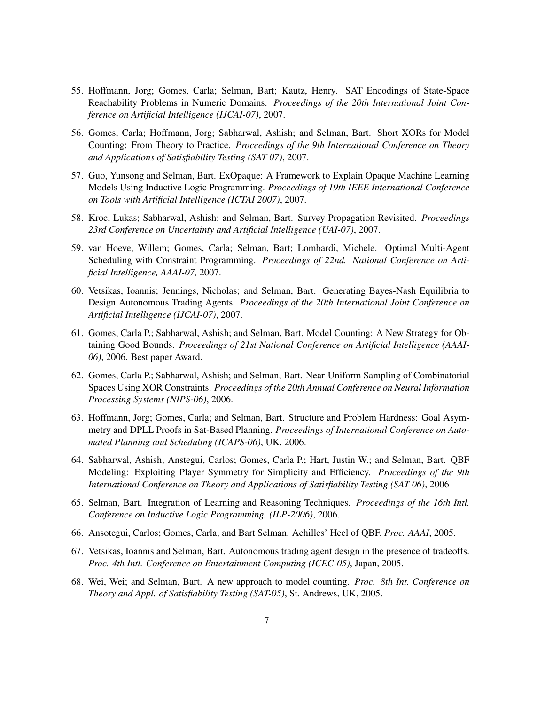- 55. Hoffmann, Jorg; Gomes, Carla; Selman, Bart; Kautz, Henry. SAT Encodings of State-Space Reachability Problems in Numeric Domains. *Proceedings of the 20th International Joint Conference on Artificial Intelligence (IJCAI-07)*, 2007.
- 56. Gomes, Carla; Hoffmann, Jorg; Sabharwal, Ashish; and Selman, Bart. Short XORs for Model Counting: From Theory to Practice. *Proceedings of the 9th International Conference on Theory and Applications of Satisfiability Testing (SAT 07)*, 2007.
- 57. Guo, Yunsong and Selman, Bart. ExOpaque: A Framework to Explain Opaque Machine Learning Models Using Inductive Logic Programming. *Proceedings of 19th IEEE International Conference on Tools with Artificial Intelligence (ICTAI 2007)*, 2007.
- 58. Kroc, Lukas; Sabharwal, Ashish; and Selman, Bart. Survey Propagation Revisited. *Proceedings 23rd Conference on Uncertainty and Artificial Intelligence (UAI-07)*, 2007.
- 59. van Hoeve, Willem; Gomes, Carla; Selman, Bart; Lombardi, Michele. Optimal Multi-Agent Scheduling with Constraint Programming. *Proceedings of 22nd. National Conference on Artificial Intelligence, AAAI-07,* 2007.
- 60. Vetsikas, Ioannis; Jennings, Nicholas; and Selman, Bart. Generating Bayes-Nash Equilibria to Design Autonomous Trading Agents. *Proceedings of the 20th International Joint Conference on Artificial Intelligence (IJCAI-07)*, 2007.
- 61. Gomes, Carla P.; Sabharwal, Ashish; and Selman, Bart. Model Counting: A New Strategy for Obtaining Good Bounds. *Proceedings of 21st National Conference on Artificial Intelligence (AAAI-06)*, 2006. Best paper Award.
- 62. Gomes, Carla P.; Sabharwal, Ashish; and Selman, Bart. Near-Uniform Sampling of Combinatorial Spaces Using XOR Constraints. *Proceedings of the 20th Annual Conference on Neural Information Processing Systems (NIPS-06)*, 2006.
- 63. Hoffmann, Jorg; Gomes, Carla; and Selman, Bart. Structure and Problem Hardness: Goal Asymmetry and DPLL Proofs in Sat-Based Planning. *Proceedings of International Conference on Automated Planning and Scheduling (ICAPS-06)*, UK, 2006.
- 64. Sabharwal, Ashish; Anstegui, Carlos; Gomes, Carla P.; Hart, Justin W.; and Selman, Bart. QBF Modeling: Exploiting Player Symmetry for Simplicity and Efficiency. *Proceedings of the 9th International Conference on Theory and Applications of Satisfiability Testing (SAT 06)*, 2006
- 65. Selman, Bart. Integration of Learning and Reasoning Techniques. *Proceedings of the 16th Intl. Conference on Inductive Logic Programming. (ILP-2006)*, 2006.
- 66. Ansotegui, Carlos; Gomes, Carla; and Bart Selman. Achilles' Heel of QBF. *Proc. AAAI*, 2005.
- 67. Vetsikas, Ioannis and Selman, Bart. Autonomous trading agent design in the presence of tradeoffs. *Proc. 4th Intl. Conference on Entertainment Computing (ICEC-05)*, Japan, 2005.
- 68. Wei, Wei; and Selman, Bart. A new approach to model counting. *Proc. 8th Int. Conference on Theory and Appl. of Satisfiability Testing (SAT-05)*, St. Andrews, UK, 2005.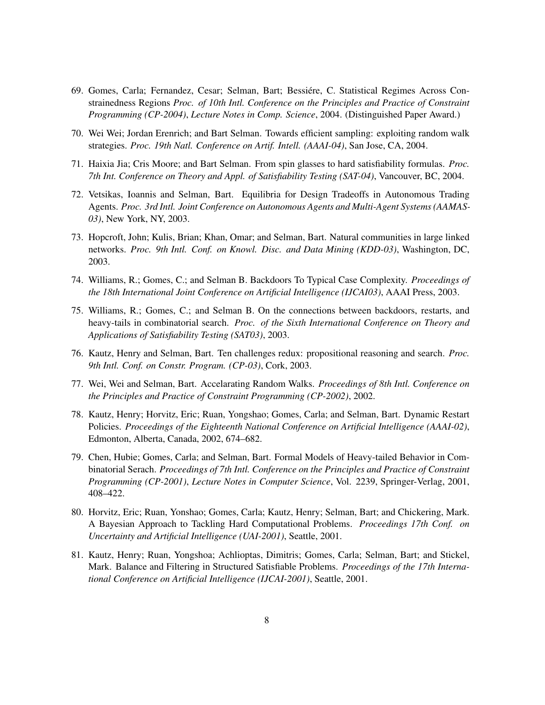- 69. Gomes, Carla; Fernandez, Cesar; Selman, Bart; Bessiere, C. Statistical Regimes Across Con- ´ strainedness Regions *Proc. of 10th Intl. Conference on the Principles and Practice of Constraint Programming (CP-2004)*, *Lecture Notes in Comp. Science*, 2004. (Distinguished Paper Award.)
- 70. Wei Wei; Jordan Erenrich; and Bart Selman. Towards efficient sampling: exploiting random walk strategies. *Proc. 19th Natl. Conference on Artif. Intell. (AAAI-04)*, San Jose, CA, 2004.
- 71. Haixia Jia; Cris Moore; and Bart Selman. From spin glasses to hard satisfiability formulas. *Proc. 7th Int. Conference on Theory and Appl. of Satisfiability Testing (SAT-04)*, Vancouver, BC, 2004.
- 72. Vetsikas, Ioannis and Selman, Bart. Equilibria for Design Tradeoffs in Autonomous Trading Agents. *Proc. 3rd Intl. Joint Conference on Autonomous Agents and Multi-Agent Systems (AAMAS-03)*, New York, NY, 2003.
- 73. Hopcroft, John; Kulis, Brian; Khan, Omar; and Selman, Bart. Natural communities in large linked networks. *Proc. 9th Intl. Conf. on Knowl. Disc. and Data Mining (KDD-03)*, Washington, DC, 2003.
- 74. Williams, R.; Gomes, C.; and Selman B. Backdoors To Typical Case Complexity. *Proceedings of the 18th International Joint Conference on Artificial Intelligence (IJCAI03)*, AAAI Press, 2003.
- 75. Williams, R.; Gomes, C.; and Selman B. On the connections between backdoors, restarts, and heavy-tails in combinatorial search. *Proc. of the Sixth International Conference on Theory and Applications of Satisfiability Testing (SAT03)*, 2003.
- 76. Kautz, Henry and Selman, Bart. Ten challenges redux: propositional reasoning and search. *Proc. 9th Intl. Conf. on Constr. Program. (CP-03)*, Cork, 2003.
- 77. Wei, Wei and Selman, Bart. Accelarating Random Walks. *Proceedings of 8th Intl. Conference on the Principles and Practice of Constraint Programming (CP-2002)*, 2002.
- 78. Kautz, Henry; Horvitz, Eric; Ruan, Yongshao; Gomes, Carla; and Selman, Bart. Dynamic Restart Policies. *Proceedings of the Eighteenth National Conference on Artificial Intelligence (AAAI-02)*, Edmonton, Alberta, Canada, 2002, 674–682.
- 79. Chen, Hubie; Gomes, Carla; and Selman, Bart. Formal Models of Heavy-tailed Behavior in Combinatorial Serach. *Proceedings of 7th Intl. Conference on the Principles and Practice of Constraint Programming (CP-2001)*, *Lecture Notes in Computer Science*, Vol. 2239, Springer-Verlag, 2001, 408–422.
- 80. Horvitz, Eric; Ruan, Yonshao; Gomes, Carla; Kautz, Henry; Selman, Bart; and Chickering, Mark. A Bayesian Approach to Tackling Hard Computational Problems. *Proceedings 17th Conf. on Uncertainty and Artificial Intelligence (UAI-2001)*, Seattle, 2001.
- 81. Kautz, Henry; Ruan, Yongshoa; Achlioptas, Dimitris; Gomes, Carla; Selman, Bart; and Stickel, Mark. Balance and Filtering in Structured Satisfiable Problems. *Proceedings of the 17th International Conference on Artificial Intelligence (IJCAI-2001)*, Seattle, 2001.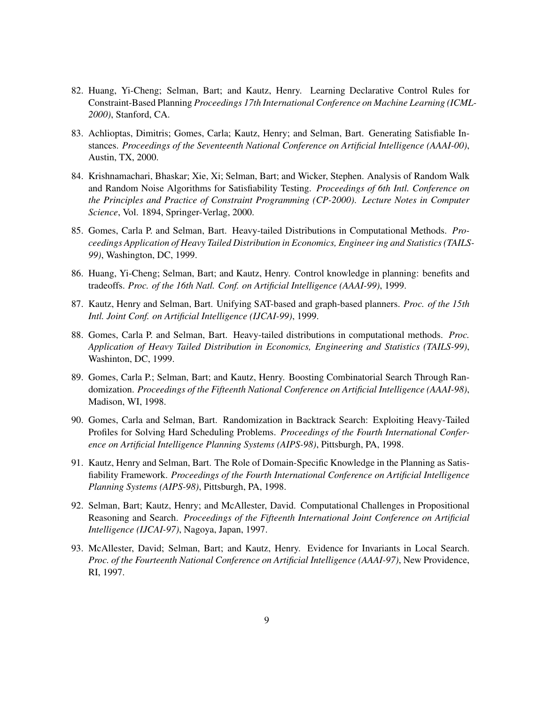- 82. Huang, Yi-Cheng; Selman, Bart; and Kautz, Henry. Learning Declarative Control Rules for Constraint-Based Planning *Proceedings 17th International Conference on Machine Learning (ICML-2000)*, Stanford, CA.
- 83. Achlioptas, Dimitris; Gomes, Carla; Kautz, Henry; and Selman, Bart. Generating Satisfiable Instances. *Proceedings of the Seventeenth National Conference on Artificial Intelligence (AAAI-00)*, Austin, TX, 2000.
- 84. Krishnamachari, Bhaskar; Xie, Xi; Selman, Bart; and Wicker, Stephen. Analysis of Random Walk and Random Noise Algorithms for Satisfiability Testing. *Proceedings of 6th Intl. Conference on the Principles and Practice of Constraint Programming (CP-2000)*. *Lecture Notes in Computer Science*, Vol. 1894, Springer-Verlag, 2000.
- 85. Gomes, Carla P. and Selman, Bart. Heavy-tailed Distributions in Computational Methods. *Proceedings Application of Heavy Tailed Distribution in Economics, Engineer ing and Statistics (TAILS-99)*, Washington, DC, 1999.
- 86. Huang, Yi-Cheng; Selman, Bart; and Kautz, Henry. Control knowledge in planning: benefits and tradeoffs. *Proc. of the 16th Natl. Conf. on Artificial Intelligence (AAAI-99)*, 1999.
- 87. Kautz, Henry and Selman, Bart. Unifying SAT-based and graph-based planners. *Proc. of the 15th Intl. Joint Conf. on Artificial Intelligence (IJCAI-99)*, 1999.
- 88. Gomes, Carla P. and Selman, Bart. Heavy-tailed distributions in computational methods. *Proc. Application of Heavy Tailed Distribution in Economics, Engineering and Statistics (TAILS-99)*, Washinton, DC, 1999.
- 89. Gomes, Carla P.; Selman, Bart; and Kautz, Henry. Boosting Combinatorial Search Through Randomization. *Proceedings of the Fifteenth National Conference on Artificial Intelligence (AAAI-98)*, Madison, WI, 1998.
- 90. Gomes, Carla and Selman, Bart. Randomization in Backtrack Search: Exploiting Heavy-Tailed Profiles for Solving Hard Scheduling Problems. *Proceedings of the Fourth International Conference on Artificial Intelligence Planning Systems (AIPS-98)*, Pittsburgh, PA, 1998.
- 91. Kautz, Henry and Selman, Bart. The Role of Domain-Specific Knowledge in the Planning as Satisfiability Framework. *Proceedings of the Fourth International Conference on Artificial Intelligence Planning Systems (AIPS-98)*, Pittsburgh, PA, 1998.
- 92. Selman, Bart; Kautz, Henry; and McAllester, David. Computational Challenges in Propositional Reasoning and Search. *Proceedings of the Fifteenth International Joint Conference on Artificial Intelligence (IJCAI-97)*, Nagoya, Japan, 1997.
- 93. McAllester, David; Selman, Bart; and Kautz, Henry. Evidence for Invariants in Local Search. *Proc. of the Fourteenth National Conference on Artificial Intelligence (AAAI-97)*, New Providence, RI, 1997.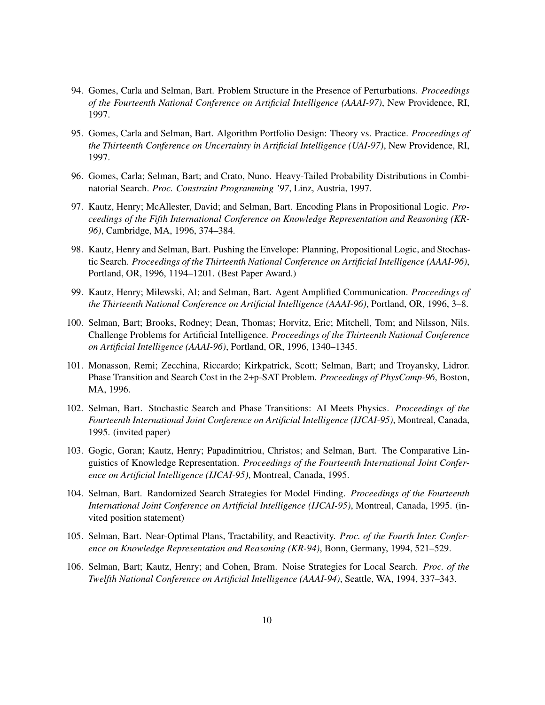- 94. Gomes, Carla and Selman, Bart. Problem Structure in the Presence of Perturbations. *Proceedings of the Fourteenth National Conference on Artificial Intelligence (AAAI-97)*, New Providence, RI, 1997.
- 95. Gomes, Carla and Selman, Bart. Algorithm Portfolio Design: Theory vs. Practice. *Proceedings of the Thirteenth Conference on Uncertainty in Artificial Intelligence (UAI-97)*, New Providence, RI, 1997.
- 96. Gomes, Carla; Selman, Bart; and Crato, Nuno. Heavy-Tailed Probability Distributions in Combinatorial Search. *Proc. Constraint Programming '97*, Linz, Austria, 1997.
- 97. Kautz, Henry; McAllester, David; and Selman, Bart. Encoding Plans in Propositional Logic. *Proceedings of the Fifth International Conference on Knowledge Representation and Reasoning (KR-96)*, Cambridge, MA, 1996, 374–384.
- 98. Kautz, Henry and Selman, Bart. Pushing the Envelope: Planning, Propositional Logic, and Stochastic Search. *Proceedings of the Thirteenth National Conference on Artificial Intelligence (AAAI-96)*, Portland, OR, 1996, 1194–1201. (Best Paper Award.)
- 99. Kautz, Henry; Milewski, Al; and Selman, Bart. Agent Amplified Communication. *Proceedings of the Thirteenth National Conference on Artificial Intelligence (AAAI-96)*, Portland, OR, 1996, 3–8.
- 100. Selman, Bart; Brooks, Rodney; Dean, Thomas; Horvitz, Eric; Mitchell, Tom; and Nilsson, Nils. Challenge Problems for Artificial Intelligence. *Proceedings of the Thirteenth National Conference on Artificial Intelligence (AAAI-96)*, Portland, OR, 1996, 1340–1345.
- 101. Monasson, Remi; Zecchina, Riccardo; Kirkpatrick, Scott; Selman, Bart; and Troyansky, Lidror. Phase Transition and Search Cost in the 2+p-SAT Problem. *Proceedings of PhysComp-96*, Boston, MA, 1996.
- 102. Selman, Bart. Stochastic Search and Phase Transitions: AI Meets Physics. *Proceedings of the Fourteenth International Joint Conference on Artificial Intelligence (IJCAI-95)*, Montreal, Canada, 1995. (invited paper)
- 103. Gogic, Goran; Kautz, Henry; Papadimitriou, Christos; and Selman, Bart. The Comparative Linguistics of Knowledge Representation. *Proceedings of the Fourteenth International Joint Conference on Artificial Intelligence (IJCAI-95)*, Montreal, Canada, 1995.
- 104. Selman, Bart. Randomized Search Strategies for Model Finding. *Proceedings of the Fourteenth International Joint Conference on Artificial Intelligence (IJCAI-95)*, Montreal, Canada, 1995. (invited position statement)
- 105. Selman, Bart. Near-Optimal Plans, Tractability, and Reactivity. *Proc. of the Fourth Inter. Conference on Knowledge Representation and Reasoning (KR-94)*, Bonn, Germany, 1994, 521–529.
- 106. Selman, Bart; Kautz, Henry; and Cohen, Bram. Noise Strategies for Local Search. *Proc. of the Twelfth National Conference on Artificial Intelligence (AAAI-94)*, Seattle, WA, 1994, 337–343.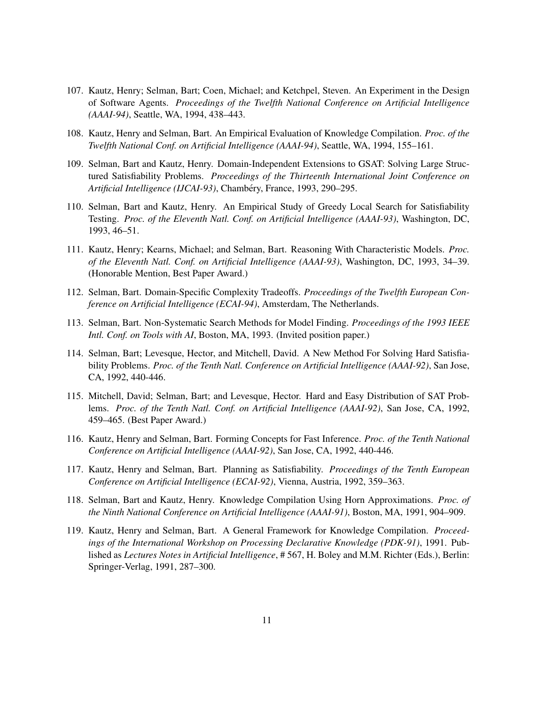- 107. Kautz, Henry; Selman, Bart; Coen, Michael; and Ketchpel, Steven. An Experiment in the Design of Software Agents. *Proceedings of the Twelfth National Conference on Artificial Intelligence (AAAI-94)*, Seattle, WA, 1994, 438–443.
- 108. Kautz, Henry and Selman, Bart. An Empirical Evaluation of Knowledge Compilation. *Proc. of the Twelfth National Conf. on Artificial Intelligence (AAAI-94)*, Seattle, WA, 1994, 155–161.
- 109. Selman, Bart and Kautz, Henry. Domain-Independent Extensions to GSAT: Solving Large Structured Satisfiability Problems. *Proceedings of the Thirteenth International Joint Conference on Artificial Intelligence (IJCAI-93)*, Chambéry, France, 1993, 290-295.
- 110. Selman, Bart and Kautz, Henry. An Empirical Study of Greedy Local Search for Satisfiability Testing. *Proc. of the Eleventh Natl. Conf. on Artificial Intelligence (AAAI-93)*, Washington, DC, 1993, 46–51.
- 111. Kautz, Henry; Kearns, Michael; and Selman, Bart. Reasoning With Characteristic Models. *Proc. of the Eleventh Natl. Conf. on Artificial Intelligence (AAAI-93)*, Washington, DC, 1993, 34–39. (Honorable Mention, Best Paper Award.)
- 112. Selman, Bart. Domain-Specific Complexity Tradeoffs. *Proceedings of the Twelfth European Conference on Artificial Intelligence (ECAI-94)*, Amsterdam, The Netherlands.
- 113. Selman, Bart. Non-Systematic Search Methods for Model Finding. *Proceedings of the 1993 IEEE Intl. Conf. on Tools with AI*, Boston, MA, 1993. (Invited position paper.)
- 114. Selman, Bart; Levesque, Hector, and Mitchell, David. A New Method For Solving Hard Satisfiability Problems. *Proc. of the Tenth Natl. Conference on Artificial Intelligence (AAAI-92)*, San Jose, CA, 1992, 440-446.
- 115. Mitchell, David; Selman, Bart; and Levesque, Hector. Hard and Easy Distribution of SAT Problems. *Proc. of the Tenth Natl. Conf. on Artificial Intelligence (AAAI-92)*, San Jose, CA, 1992, 459–465. (Best Paper Award.)
- 116. Kautz, Henry and Selman, Bart. Forming Concepts for Fast Inference. *Proc. of the Tenth National Conference on Artificial Intelligence (AAAI-92)*, San Jose, CA, 1992, 440-446.
- 117. Kautz, Henry and Selman, Bart. Planning as Satisfiability. *Proceedings of the Tenth European Conference on Artificial Intelligence (ECAI-92)*, Vienna, Austria, 1992, 359–363.
- 118. Selman, Bart and Kautz, Henry. Knowledge Compilation Using Horn Approximations. *Proc. of the Ninth National Conference on Artificial Intelligence (AAAI-91)*, Boston, MA, 1991, 904–909.
- 119. Kautz, Henry and Selman, Bart. A General Framework for Knowledge Compilation. *Proceedings of the International Workshop on Processing Declarative Knowledge (PDK-91)*, 1991. Published as *Lectures Notes in Artificial Intelligence*, # 567, H. Boley and M.M. Richter (Eds.), Berlin: Springer-Verlag, 1991, 287–300.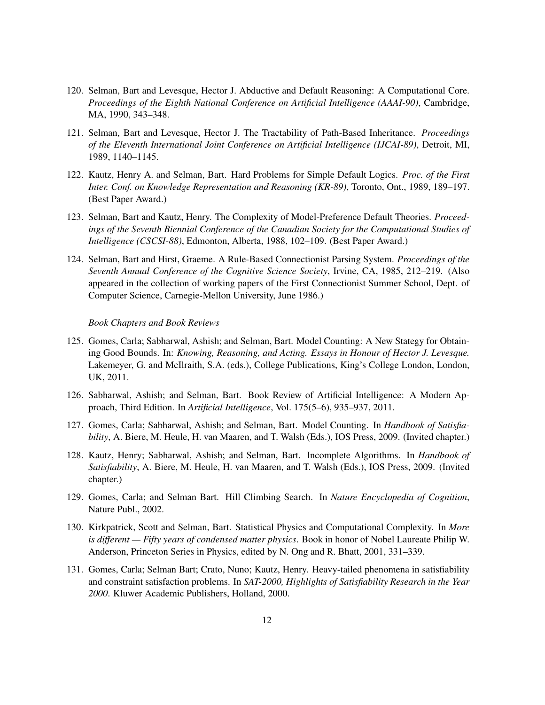- 120. Selman, Bart and Levesque, Hector J. Abductive and Default Reasoning: A Computational Core. *Proceedings of the Eighth National Conference on Artificial Intelligence (AAAI-90)*, Cambridge, MA, 1990, 343–348.
- 121. Selman, Bart and Levesque, Hector J. The Tractability of Path-Based Inheritance. *Proceedings of the Eleventh International Joint Conference on Artificial Intelligence (IJCAI-89)*, Detroit, MI, 1989, 1140–1145.
- 122. Kautz, Henry A. and Selman, Bart. Hard Problems for Simple Default Logics. *Proc. of the First Inter. Conf. on Knowledge Representation and Reasoning (KR-89)*, Toronto, Ont., 1989, 189–197. (Best Paper Award.)
- 123. Selman, Bart and Kautz, Henry. The Complexity of Model-Preference Default Theories. *Proceedings of the Seventh Biennial Conference of the Canadian Society for the Computational Studies of Intelligence (CSCSI-88)*, Edmonton, Alberta, 1988, 102–109. (Best Paper Award.)
- 124. Selman, Bart and Hirst, Graeme. A Rule-Based Connectionist Parsing System. *Proceedings of the Seventh Annual Conference of the Cognitive Science Society*, Irvine, CA, 1985, 212–219. (Also appeared in the collection of working papers of the First Connectionist Summer School, Dept. of Computer Science, Carnegie-Mellon University, June 1986.)

#### *Book Chapters and Book Reviews*

- 125. Gomes, Carla; Sabharwal, Ashish; and Selman, Bart. Model Counting: A New Stategy for Obtaining Good Bounds. In: *Knowing, Reasoning, and Acting. Essays in Honour of Hector J. Levesque.* Lakemeyer, G. and McIlraith, S.A. (eds.), College Publications, King's College London, London, UK, 2011.
- 126. Sabharwal, Ashish; and Selman, Bart. Book Review of Artificial Intelligence: A Modern Approach, Third Edition. In *Artificial Intelligence*, Vol. 175(5–6), 935–937, 2011.
- 127. Gomes, Carla; Sabharwal, Ashish; and Selman, Bart. Model Counting. In *Handbook of Satisfiability*, A. Biere, M. Heule, H. van Maaren, and T. Walsh (Eds.), IOS Press, 2009. (Invited chapter.)
- 128. Kautz, Henry; Sabharwal, Ashish; and Selman, Bart. Incomplete Algorithms. In *Handbook of Satisfiability*, A. Biere, M. Heule, H. van Maaren, and T. Walsh (Eds.), IOS Press, 2009. (Invited chapter.)
- 129. Gomes, Carla; and Selman Bart. Hill Climbing Search. In *Nature Encyclopedia of Cognition*, Nature Publ., 2002.
- 130. Kirkpatrick, Scott and Selman, Bart. Statistical Physics and Computational Complexity. In *More is different — Fifty years of condensed matter physics*. Book in honor of Nobel Laureate Philip W. Anderson, Princeton Series in Physics, edited by N. Ong and R. Bhatt, 2001, 331–339.
- 131. Gomes, Carla; Selman Bart; Crato, Nuno; Kautz, Henry. Heavy-tailed phenomena in satisfiability and constraint satisfaction problems. In *SAT-2000, Highlights of Satisfiability Research in the Year 2000*. Kluwer Academic Publishers, Holland, 2000.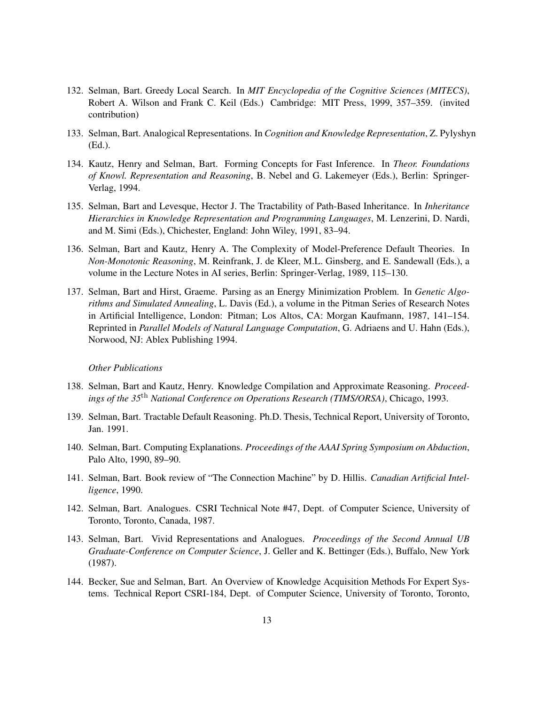- 132. Selman, Bart. Greedy Local Search. In *MIT Encyclopedia of the Cognitive Sciences (MITECS)*, Robert A. Wilson and Frank C. Keil (Eds.) Cambridge: MIT Press, 1999, 357–359. (invited contribution)
- 133. Selman, Bart. Analogical Representations. In *Cognition and Knowledge Representation*, Z. Pylyshyn (Ed.).
- 134. Kautz, Henry and Selman, Bart. Forming Concepts for Fast Inference. In *Theor. Foundations of Knowl. Representation and Reasoning*, B. Nebel and G. Lakemeyer (Eds.), Berlin: Springer-Verlag, 1994.
- 135. Selman, Bart and Levesque, Hector J. The Tractability of Path-Based Inheritance. In *Inheritance Hierarchies in Knowledge Representation and Programming Languages*, M. Lenzerini, D. Nardi, and M. Simi (Eds.), Chichester, England: John Wiley, 1991, 83–94.
- 136. Selman, Bart and Kautz, Henry A. The Complexity of Model-Preference Default Theories. In *Non-Monotonic Reasoning*, M. Reinfrank, J. de Kleer, M.L. Ginsberg, and E. Sandewall (Eds.), a volume in the Lecture Notes in AI series, Berlin: Springer-Verlag, 1989, 115–130.
- 137. Selman, Bart and Hirst, Graeme. Parsing as an Energy Minimization Problem. In *Genetic Algorithms and Simulated Annealing*, L. Davis (Ed.), a volume in the Pitman Series of Research Notes in Artificial Intelligence, London: Pitman; Los Altos, CA: Morgan Kaufmann, 1987, 141–154. Reprinted in *Parallel Models of Natural Language Computation*, G. Adriaens and U. Hahn (Eds.), Norwood, NJ: Ablex Publishing 1994.

#### *Other Publications*

- 138. Selman, Bart and Kautz, Henry. Knowledge Compilation and Approximate Reasoning. *Proceedings of the 35*th *National Conference on Operations Research (TIMS/ORSA)*, Chicago, 1993.
- 139. Selman, Bart. Tractable Default Reasoning. Ph.D. Thesis, Technical Report, University of Toronto, Jan. 1991.
- 140. Selman, Bart. Computing Explanations. *Proceedings of the AAAI Spring Symposium on Abduction*, Palo Alto, 1990, 89–90.
- 141. Selman, Bart. Book review of "The Connection Machine" by D. Hillis. *Canadian Artificial Intelligence*, 1990.
- 142. Selman, Bart. Analogues. CSRI Technical Note #47, Dept. of Computer Science, University of Toronto, Toronto, Canada, 1987.
- 143. Selman, Bart. Vivid Representations and Analogues. *Proceedings of the Second Annual UB Graduate-Conference on Computer Science*, J. Geller and K. Bettinger (Eds.), Buffalo, New York (1987).
- 144. Becker, Sue and Selman, Bart. An Overview of Knowledge Acquisition Methods For Expert Systems. Technical Report CSRI-184, Dept. of Computer Science, University of Toronto, Toronto,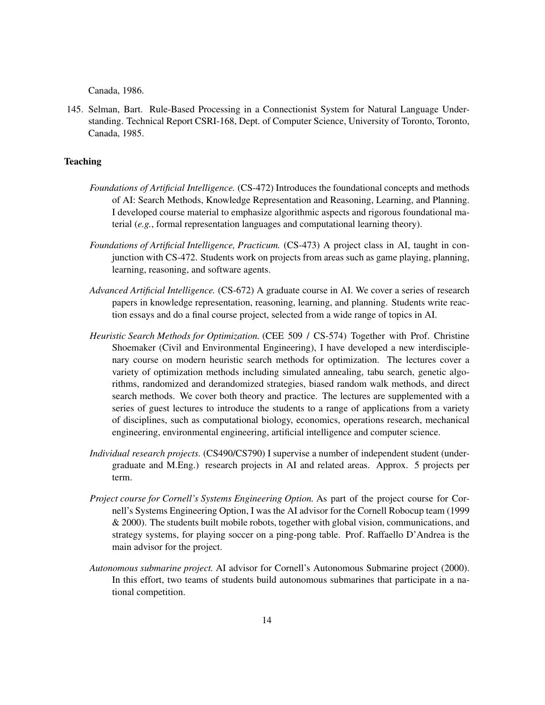Canada, 1986.

145. Selman, Bart. Rule-Based Processing in a Connectionist System for Natural Language Understanding. Technical Report CSRI-168, Dept. of Computer Science, University of Toronto, Toronto, Canada, 1985.

# **Teaching**

- *Foundations of Artificial Intelligence.* (CS-472) Introduces the foundational concepts and methods of AI: Search Methods, Knowledge Representation and Reasoning, Learning, and Planning. I developed course material to emphasize algorithmic aspects and rigorous foundational material (*e.g.*, formal representation languages and computational learning theory).
- *Foundations of Artificial Intelligence, Practicum.* (CS-473) A project class in AI, taught in conjunction with CS-472. Students work on projects from areas such as game playing, planning, learning, reasoning, and software agents.
- *Advanced Artificial Intelligence.* (CS-672) A graduate course in AI. We cover a series of research papers in knowledge representation, reasoning, learning, and planning. Students write reaction essays and do a final course project, selected from a wide range of topics in AI.
- *Heuristic Search Methods for Optimization.* (CEE 509 / CS-574) Together with Prof. Christine Shoemaker (Civil and Environmental Engineering), I have developed a new interdisciplenary course on modern heuristic search methods for optimization. The lectures cover a variety of optimization methods including simulated annealing, tabu search, genetic algorithms, randomized and derandomized strategies, biased random walk methods, and direct search methods. We cover both theory and practice. The lectures are supplemented with a series of guest lectures to introduce the students to a range of applications from a variety of disciplines, such as computational biology, economics, operations research, mechanical engineering, environmental engineering, artificial intelligence and computer science.
- *Individual research projects.* (CS490/CS790) I supervise a number of independent student (undergraduate and M.Eng.) research projects in AI and related areas. Approx. 5 projects per term.
- *Project course for Cornell's Systems Engineering Option.* As part of the project course for Cornell's Systems Engineering Option, I was the AI advisor for the Cornell Robocup team (1999 & 2000). The students built mobile robots, together with global vision, communications, and strategy systems, for playing soccer on a ping-pong table. Prof. Raffaello D'Andrea is the main advisor for the project.
- *Autonomous submarine project.* AI advisor for Cornell's Autonomous Submarine project (2000). In this effort, two teams of students build autonomous submarines that participate in a national competition.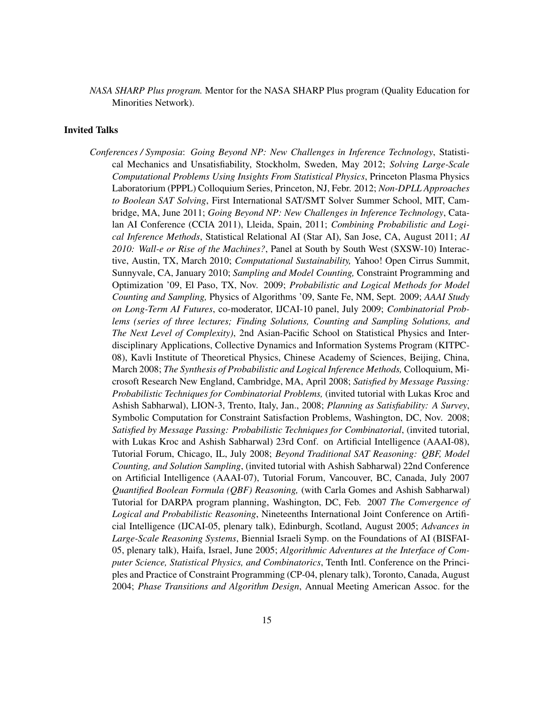*NASA SHARP Plus program.* Mentor for the NASA SHARP Plus program (Quality Education for Minorities Network).

# Invited Talks

*Conferences / Symposia*: *Going Beyond NP: New Challenges in Inference Technology*, Statistical Mechanics and Unsatisfiability, Stockholm, Sweden, May 2012; *Solving Large-Scale Computational Problems Using Insights From Statistical Physics*, Princeton Plasma Physics Laboratorium (PPPL) Colloquium Series, Princeton, NJ, Febr. 2012; *Non-DPLL Approaches to Boolean SAT Solving*, First International SAT/SMT Solver Summer School, MIT, Cambridge, MA, June 2011; *Going Beyond NP: New Challenges in Inference Technology*, Catalan AI Conference (CCIA 2011), Lleida, Spain, 2011; *Combining Probabilistic and Logical Inference Methods*, Statistical Relational AI (Star AI), San Jose, CA, August 2011; *AI 2010: Wall-e or Rise of the Machines?*, Panel at South by South West (SXSW-10) Interactive, Austin, TX, March 2010; *Computational Sustainability,* Yahoo! Open Cirrus Summit, Sunnyvale, CA, January 2010; *Sampling and Model Counting,* Constraint Programming and Optimization '09, El Paso, TX, Nov. 2009; *Probabilistic and Logical Methods for Model Counting and Sampling,* Physics of Algorithms '09, Sante Fe, NM, Sept. 2009; *AAAI Study on Long-Term AI Futures*, co-moderator, IJCAI-10 panel, July 2009; *Combinatorial Problems (series of three lectures; Finding Solutions, Counting and Sampling Solutions, and The Next Level of Complexity)*, 2nd Asian-Pacific School on Statistical Physics and Interdisciplinary Applications, Collective Dynamics and Information Systems Program (KITPC-08), Kavli Institute of Theoretical Physics, Chinese Academy of Sciences, Beijing, China, March 2008; *The Synthesis of Probabilistic and Logical Inference Methods,* Colloquium, Microsoft Research New England, Cambridge, MA, April 2008; *Satisfied by Message Passing: Probabilistic Techniques for Combinatorial Problems,* (invited tutorial with Lukas Kroc and Ashish Sabharwal), LION-3, Trento, Italy, Jan., 2008; *Planning as Satisfiability: A Survey*, Symbolic Computation for Constraint Satisfaction Problems, Washington, DC, Nov. 2008; *Satisfied by Message Passing: Probabilistic Techniques for Combinatorial*, (invited tutorial, with Lukas Kroc and Ashish Sabharwal) 23rd Conf. on Artificial Intelligence (AAAI-08), Tutorial Forum, Chicago, IL, July 2008; *Beyond Traditional SAT Reasoning: QBF, Model Counting, and Solution Sampling*, (invited tutorial with Ashish Sabharwal) 22nd Conference on Artificial Intelligence (AAAI-07), Tutorial Forum, Vancouver, BC, Canada, July 2007 *Quantified Boolean Formula (QBF) Reasoning,* (with Carla Gomes and Ashish Sabharwal) Tutorial for DARPA program planning, Washington, DC, Feb. 2007 *The Convergence of Logical and Probabilistic Reasoning*, Nineteenths International Joint Conference on Artificial Intelligence (IJCAI-05, plenary talk), Edinburgh, Scotland, August 2005; *Advances in Large-Scale Reasoning Systems*, Biennial Israeli Symp. on the Foundations of AI (BISFAI-05, plenary talk), Haifa, Israel, June 2005; *Algorithmic Adventures at the Interface of Computer Science, Statistical Physics, and Combinatorics*, Tenth Intl. Conference on the Principles and Practice of Constraint Programming (CP-04, plenary talk), Toronto, Canada, August 2004; *Phase Transitions and Algorithm Design*, Annual Meeting American Assoc. for the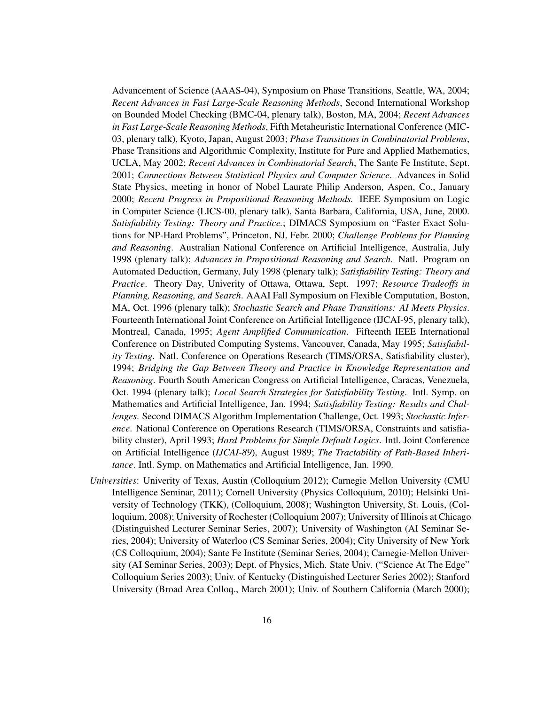Advancement of Science (AAAS-04), Symposium on Phase Transitions, Seattle, WA, 2004; *Recent Advances in Fast Large-Scale Reasoning Methods*, Second International Workshop on Bounded Model Checking (BMC-04, plenary talk), Boston, MA, 2004; *Recent Advances in Fast Large-Scale Reasoning Methods*, Fifth Metaheuristic International Conference (MIC-03, plenary talk), Kyoto, Japan, August 2003; *Phase Transitions in Combinatorial Problems*, Phase Transitions and Algorithmic Complexity, Institute for Pure and Applied Mathematics, UCLA, May 2002; *Recent Advances in Combinatorial Search*, The Sante Fe Institute, Sept. 2001; *Connections Between Statistical Physics and Computer Science*. Advances in Solid State Physics, meeting in honor of Nobel Laurate Philip Anderson, Aspen, Co., January 2000; *Recent Progress in Propositional Reasoning Methods.* IEEE Symposium on Logic in Computer Science (LICS-00, plenary talk), Santa Barbara, California, USA, June, 2000. *Satisfiability Testing: Theory and Practice.*; DIMACS Symposium on "Faster Exact Solutions for NP-Hard Problems", Princeton, NJ, Febr. 2000; *Challenge Problems for Planning and Reasoning*. Australian National Conference on Artificial Intelligence, Australia, July 1998 (plenary talk); *Advances in Propositional Reasoning and Search.* Natl. Program on Automated Deduction, Germany, July 1998 (plenary talk); *Satisfiability Testing: Theory and Practice*. Theory Day, Univerity of Ottawa, Ottawa, Sept. 1997; *Resource Tradeoffs in Planning, Reasoning, and Search*. AAAI Fall Symposium on Flexible Computation, Boston, MA, Oct. 1996 (plenary talk); *Stochastic Search and Phase Transitions: AI Meets Physics*. Fourteenth International Joint Conference on Artificial Intelligence (IJCAI-95, plenary talk), Montreal, Canada, 1995; *Agent Amplified Communication*. Fifteenth IEEE International Conference on Distributed Computing Systems, Vancouver, Canada, May 1995; *Satisfiability Testing*. Natl. Conference on Operations Research (TIMS/ORSA, Satisfiability cluster), 1994; *Bridging the Gap Between Theory and Practice in Knowledge Representation and Reasoning*. Fourth South American Congress on Artificial Intelligence, Caracas, Venezuela, Oct. 1994 (plenary talk); *Local Search Strategies for Satisfiability Testing*. Intl. Symp. on Mathematics and Artificial Intelligence, Jan. 1994; *Satisfiability Testing: Results and Challenges*. Second DIMACS Algorithm Implementation Challenge, Oct. 1993; *Stochastic Inference*. National Conference on Operations Research (TIMS/ORSA, Constraints and satisfiability cluster), April 1993; *Hard Problems for Simple Default Logics*. Intl. Joint Conference on Artificial Intelligence (*IJCAI-89*), August 1989; *The Tractability of Path-Based Inheritance*. Intl. Symp. on Mathematics and Artificial Intelligence, Jan. 1990.

*Universities*: Univerity of Texas, Austin (Colloquium 2012); Carnegie Mellon University (CMU Intelligence Seminar, 2011); Cornell University (Physics Colloquium, 2010); Helsinki University of Technology (TKK), (Colloquium, 2008); Washington University, St. Louis, (Colloquium, 2008); University of Rochester (Colloquium 2007); University of Illinois at Chicago (Distinguished Lecturer Seminar Series, 2007); University of Washington (AI Seminar Series, 2004); University of Waterloo (CS Seminar Series, 2004); City University of New York (CS Colloquium, 2004); Sante Fe Institute (Seminar Series, 2004); Carnegie-Mellon University (AI Seminar Series, 2003); Dept. of Physics, Mich. State Univ. ("Science At The Edge" Colloquium Series 2003); Univ. of Kentucky (Distinguished Lecturer Series 2002); Stanford University (Broad Area Colloq., March 2001); Univ. of Southern California (March 2000);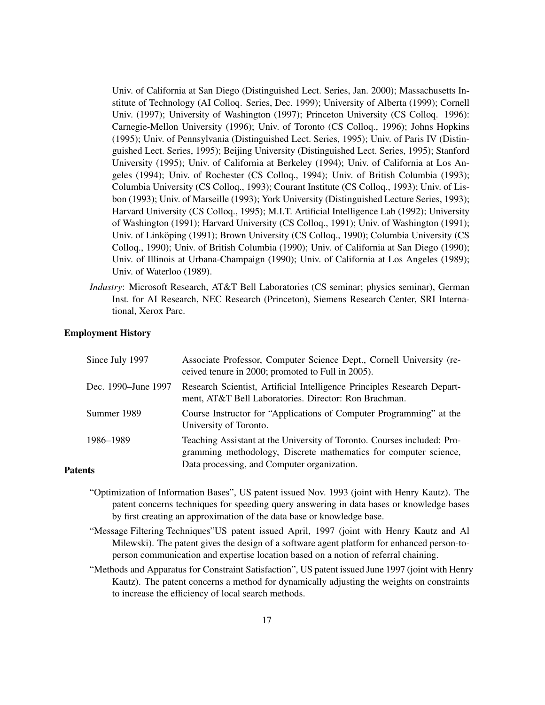Univ. of California at San Diego (Distinguished Lect. Series, Jan. 2000); Massachusetts Institute of Technology (AI Colloq. Series, Dec. 1999); University of Alberta (1999); Cornell Univ. (1997); University of Washington (1997); Princeton University (CS Colloq. 1996): Carnegie-Mellon University (1996); Univ. of Toronto (CS Colloq., 1996); Johns Hopkins (1995); Univ. of Pennsylvania (Distinguished Lect. Series, 1995); Univ. of Paris IV (Distinguished Lect. Series, 1995); Beijing University (Distinguished Lect. Series, 1995); Stanford University (1995); Univ. of California at Berkeley (1994); Univ. of California at Los Angeles (1994); Univ. of Rochester (CS Colloq., 1994); Univ. of British Columbia (1993); Columbia University (CS Colloq., 1993); Courant Institute (CS Colloq., 1993); Univ. of Lisbon (1993); Univ. of Marseille (1993); York University (Distinguished Lecture Series, 1993); Harvard University (CS Colloq., 1995); M.I.T. Artificial Intelligence Lab (1992); University of Washington (1991); Harvard University (CS Colloq., 1991); Univ. of Washington (1991); Univ. of Linköping (1991); Brown University (CS Colloq., 1990); Columbia University (CS Colloq., 1990); Univ. of British Columbia (1990); Univ. of California at San Diego (1990); Univ. of Illinois at Urbana-Champaign (1990); Univ. of California at Los Angeles (1989); Univ. of Waterloo (1989).

*Industry*: Microsoft Research, AT&T Bell Laboratories (CS seminar; physics seminar), German Inst. for AI Research, NEC Research (Princeton), Siemens Research Center, SRI International, Xerox Parc.

### Employment History

| Since July 1997     | Associate Professor, Computer Science Dept., Cornell University (re-<br>ceived tenure in 2000; promoted to Full in 2005).                   |
|---------------------|---------------------------------------------------------------------------------------------------------------------------------------------|
| Dec. 1990–June 1997 | Research Scientist, Artificial Intelligence Principles Research Depart-<br>ment, AT&T Bell Laboratories. Director: Ron Brachman.            |
| Summer 1989         | Course Instructor for "Applications of Computer Programming" at the<br>University of Toronto.                                               |
| 1986–1989           | Teaching Assistant at the University of Toronto. Courses included: Pro-<br>gramming methodology, Discrete mathematics for computer science, |
| Patents             | Data processing, and Computer organization.                                                                                                 |

- "Optimization of Information Bases", US patent issued Nov. 1993 (joint with Henry Kautz). The patent concerns techniques for speeding query answering in data bases or knowledge bases by first creating an approximation of the data base or knowledge base.
- "Message Filtering Techniques"US patent issued April, 1997 (joint with Henry Kautz and Al Milewski). The patent gives the design of a software agent platform for enhanced person-toperson communication and expertise location based on a notion of referral chaining.
- "Methods and Apparatus for Constraint Satisfaction", US patent issued June 1997 (joint with Henry Kautz). The patent concerns a method for dynamically adjusting the weights on constraints to increase the efficiency of local search methods.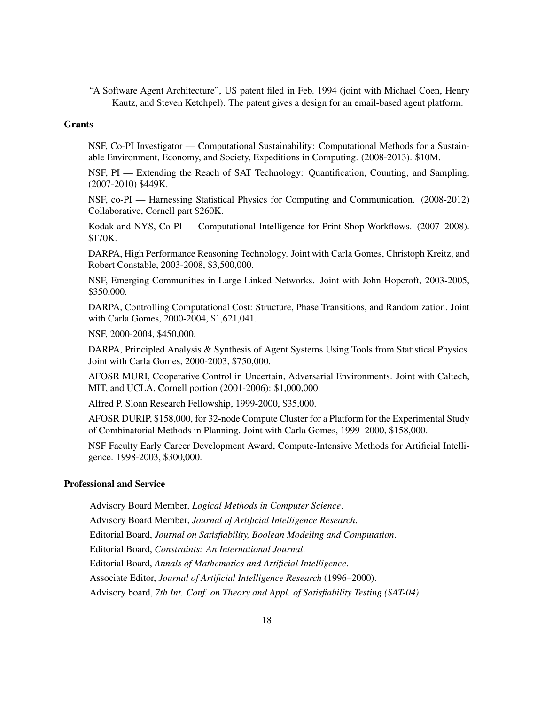"A Software Agent Architecture", US patent filed in Feb. 1994 (joint with Michael Coen, Henry Kautz, and Steven Ketchpel). The patent gives a design for an email-based agent platform.

#### **Grants**

NSF, Co-PI Investigator — Computational Sustainability: Computational Methods for a Sustainable Environment, Economy, and Society, Expeditions in Computing. (2008-2013). \$10M.

NSF, PI — Extending the Reach of SAT Technology: Quantification, Counting, and Sampling. (2007-2010) \$449K.

NSF, co-PI — Harnessing Statistical Physics for Computing and Communication. (2008-2012) Collaborative, Cornell part \$260K.

Kodak and NYS, Co-PI — Computational Intelligence for Print Shop Workflows. (2007–2008). \$170K.

DARPA, High Performance Reasoning Technology. Joint with Carla Gomes, Christoph Kreitz, and Robert Constable, 2003-2008, \$3,500,000.

NSF, Emerging Communities in Large Linked Networks. Joint with John Hopcroft, 2003-2005, \$350,000.

DARPA, Controlling Computational Cost: Structure, Phase Transitions, and Randomization. Joint with Carla Gomes, 2000-2004, \$1,621,041.

NSF, 2000-2004, \$450,000.

DARPA, Principled Analysis & Synthesis of Agent Systems Using Tools from Statistical Physics. Joint with Carla Gomes, 2000-2003, \$750,000.

AFOSR MURI, Cooperative Control in Uncertain, Adversarial Environments. Joint with Caltech, MIT, and UCLA. Cornell portion (2001-2006): \$1,000,000.

Alfred P. Sloan Research Fellowship, 1999-2000, \$35,000.

AFOSR DURIP, \$158,000, for 32-node Compute Cluster for a Platform for the Experimental Study of Combinatorial Methods in Planning. Joint with Carla Gomes, 1999–2000, \$158,000.

NSF Faculty Early Career Development Award, Compute-Intensive Methods for Artificial Intelligence. 1998-2003, \$300,000.

# Professional and Service

Advisory Board Member, *Logical Methods in Computer Science*.

Advisory Board Member, *Journal of Artificial Intelligence Research*.

Editorial Board, *Journal on Satisfiability, Boolean Modeling and Computation*.

Editorial Board, *Constraints: An International Journal*.

Editorial Board, *Annals of Mathematics and Artificial Intelligence*.

Associate Editor, *Journal of Artificial Intelligence Research* (1996–2000).

Advisory board, *7th Int. Conf. on Theory and Appl. of Satisfiability Testing (SAT-04)*.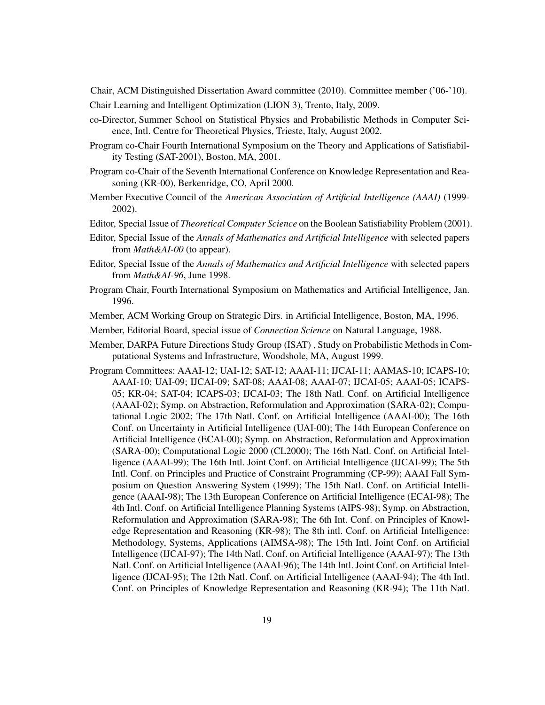Chair, ACM Distinguished Dissertation Award committee (2010). Committee member ('06-'10). Chair Learning and Intelligent Optimization (LION 3), Trento, Italy, 2009.

- co-Director, Summer School on Statistical Physics and Probabilistic Methods in Computer Science, Intl. Centre for Theoretical Physics, Trieste, Italy, August 2002.
- Program co-Chair Fourth International Symposium on the Theory and Applications of Satisfiability Testing (SAT-2001), Boston, MA, 2001.
- Program co-Chair of the Seventh International Conference on Knowledge Representation and Reasoning (KR-00), Berkenridge, CO, April 2000.
- Member Executive Council of the *American Association of Artificial Intelligence (AAAI)* (1999- 2002).
- Editor, Special Issue of *Theoretical Computer Science* on the Boolean Satisfiability Problem (2001).
- Editor, Special Issue of the *Annals of Mathematics and Artificial Intelligence* with selected papers from *Math&AI-00* (to appear).
- Editor, Special Issue of the *Annals of Mathematics and Artificial Intelligence* with selected papers from *Math&AI-96*, June 1998.
- Program Chair, Fourth International Symposium on Mathematics and Artificial Intelligence, Jan. 1996.
- Member, ACM Working Group on Strategic Dirs. in Artificial Intelligence, Boston, MA, 1996.

Member, Editorial Board, special issue of *Connection Science* on Natural Language, 1988.

- Member, DARPA Future Directions Study Group (ISAT) , Study on Probabilistic Methods in Computational Systems and Infrastructure, Woodshole, MA, August 1999.
- Program Committees: AAAI-12; UAI-12; SAT-12; AAAI-11; IJCAI-11; AAMAS-10; ICAPS-10; AAAI-10; UAI-09; IJCAI-09; SAT-08; AAAI-08; AAAI-07; IJCAI-05; AAAI-05; ICAPS-05; KR-04; SAT-04; ICAPS-03; IJCAI-03; The 18th Natl. Conf. on Artificial Intelligence (AAAI-02); Symp. on Abstraction, Reformulation and Approximation (SARA-02); Computational Logic 2002; The 17th Natl. Conf. on Artificial Intelligence (AAAI-00); The 16th Conf. on Uncertainty in Artificial Intelligence (UAI-00); The 14th European Conference on Artificial Intelligence (ECAI-00); Symp. on Abstraction, Reformulation and Approximation (SARA-00); Computational Logic 2000 (CL2000); The 16th Natl. Conf. on Artificial Intelligence (AAAI-99); The 16th Intl. Joint Conf. on Artificial Intelligence (IJCAI-99); The 5th Intl. Conf. on Principles and Practice of Constraint Programming (CP-99); AAAI Fall Symposium on Question Answering System (1999); The 15th Natl. Conf. on Artificial Intelligence (AAAI-98); The 13th European Conference on Artificial Intelligence (ECAI-98); The 4th Intl. Conf. on Artificial Intelligence Planning Systems (AIPS-98); Symp. on Abstraction, Reformulation and Approximation (SARA-98); The 6th Int. Conf. on Principles of Knowledge Representation and Reasoning (KR-98); The 8th intl. Conf. on Artificial Intelligence: Methodology, Systems, Applications (AIMSA-98); The 15th Intl. Joint Conf. on Artificial Intelligence (IJCAI-97); The 14th Natl. Conf. on Artificial Intelligence (AAAI-97); The 13th Natl. Conf. on Artificial Intelligence (AAAI-96); The 14th Intl. Joint Conf. on Artificial Intelligence (IJCAI-95); The 12th Natl. Conf. on Artificial Intelligence (AAAI-94); The 4th Intl. Conf. on Principles of Knowledge Representation and Reasoning (KR-94); The 11th Natl.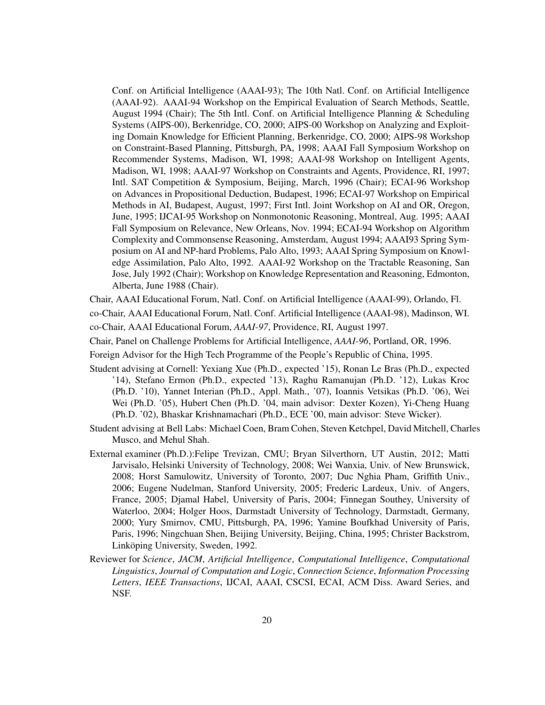Conf. on Artificial Intelligence (AAAI-93); The 10th Natl. Conf. on Artificial Intelligence (AAAI-92). AAAI-94 Workshop on the Empirical Evaluation of Search Methods, Seattle, August 1994 (Chair); The 5th Intl. Conf. on Artificial Intelligence Planning & Scheduling Systems (AIPS-00), Berkenridge, CO, 2000; AIPS-00 Workshop on Analyzing and Exploiting Domain Knowledge for Efficient Planning, Berkenridge, CO, 2000; AIPS-98 Workshop on Constraint-Based Planning, Pittsburgh, PA, 1998; AAAI Fall Symposium Workshop on Recommender Systems, Madison, WI, 1998; AAAI-98 Workshop on Intelligent Agents, Madison, WI, 1998; AAAI-97 Workshop on Constraints and Agents, Providence, RI, 1997; Intl. SAT Competition & Symposium, Beijing, March, 1996 (Chair); ECAI-96 Workshop on Advances in Propositional Deduction, Budapest, 1996; ECAI-97 Workshop on Empirical Methods in AI, Budapest, August, 1997; First Intl. Joint Workshop on AI and OR, Oregon, June, 1995; IJCAI-95 Workshop on Nonmonotonic Reasoning, Montreal, Aug. 1995; AAAI Fall Symposium on Relevance, New Orleans, Nov. 1994; ECAI-94 Workshop on Algorithm Complexity and Commonsense Reasoning, Amsterdam, August 1994; AAAI93 Spring Symposium on AI and NP-hard Problems, Palo Alto, 1993; AAAI Spring Symposium on Knowledge Assimilation, Palo Alto, 1992. AAAI-92 Workshop on the Tractable Reasoning, San Jose, July 1992 (Chair); Workshop on Knowledge Representation and Reasoning, Edmonton, Alberta, June 1988 (Chair).

Chair, AAAI Educational Forum, Natl. Conf. on Artificial Intelligence (AAAI-99), Orlando, Fl.

co-Chair, AAAI Educational Forum, Natl. Conf. Artificial Intelligence (AAAI-98), Madinson, WI. co-Chair, AAAI Educational Forum, *AAAI-97*, Providence, RI, August 1997.

Chair, Panel on Challenge Problems for Artificial Intelligence, *AAAI-96*, Portland, OR, 1996.

- Foreign Advisor for the High Tech Programme of the People's Republic of China, 1995.
- Student advising at Cornell: Yexiang Xue (Ph.D., expected '15), Ronan Le Bras (Ph.D., expected '14), Stefano Ermon (Ph.D., expected '13), Raghu Ramanujan (Ph.D. '12), Lukas Kroc (Ph.D. '10), Yannet Interian (Ph.D., Appl. Math., '07), Ioannis Vetsikas (Ph.D. '06), Wei Wei (Ph.D. '05), Hubert Chen (Ph.D. '04, main advisor: Dexter Kozen), Yi-Cheng Huang (Ph.D. '02), Bhaskar Krishnamachari (Ph.D., ECE '00, main advisor: Steve Wicker).
- Student advising at Bell Labs: Michael Coen, Bram Cohen, Steven Ketchpel, David Mitchell, Charles Musco, and Mehul Shah.
- External examiner (Ph.D.):Felipe Trevizan, CMU; Bryan Silverthorn, UT Austin, 2012; Matti Jarvisalo, Helsinki University of Technology, 2008; Wei Wanxia, Univ. of New Brunswick, 2008; Horst Samulowitz, University of Toronto, 2007; Duc Nghia Pham, Griffith Univ., 2006; Eugene Nudelman, Stanford University, 2005; Frederic Lardeux, Univ. of Angers, France, 2005; Djamal Habel, University of Paris, 2004; Finnegan Southey, University of Waterloo, 2004; Holger Hoos, Darmstadt University of Technology, Darmstadt, Germany, 2000; Yury Smirnov, CMU, Pittsburgh, PA, 1996; Yamine Boufkhad University of Paris, Paris, 1996; Ningchuan Shen, Beijing University, Beijing, China, 1995; Christer Backstrom, Linköping University, Sweden, 1992.
- Reviewer for *Science*, *JACM*, *Artificial Intelligence*, *Computational Intelligence*, *Computational Linguistics*, *Journal of Computation and Logic*, *Connection Science*, *Information Processing Letters*, *IEEE Transactions*, IJCAI, AAAI, CSCSI, ECAI, ACM Diss. Award Series, and NSF.